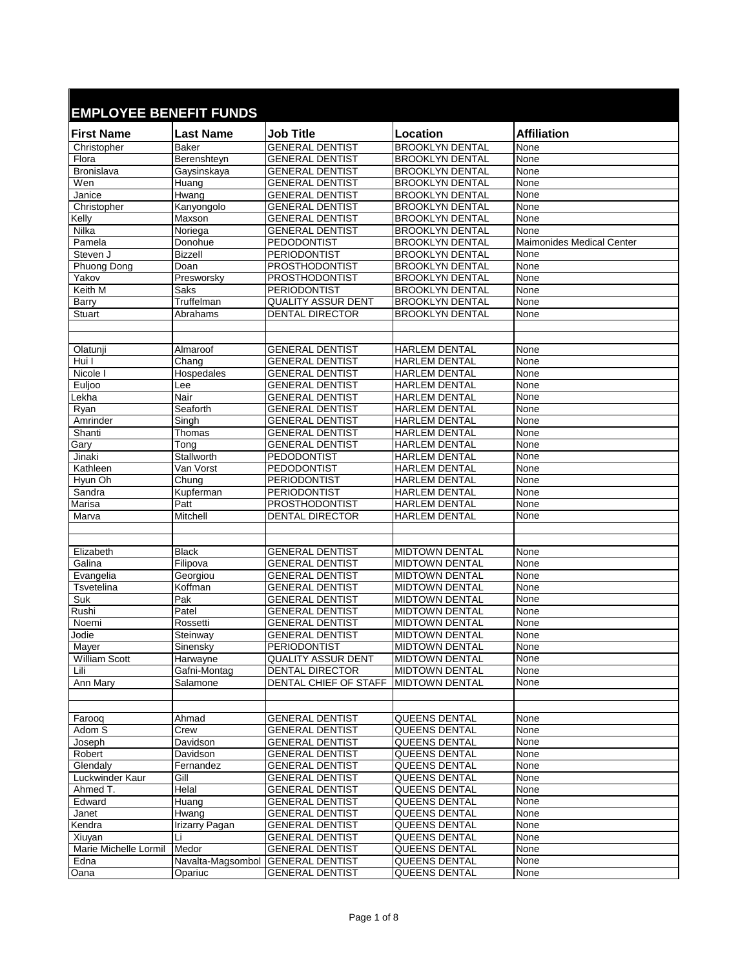## **EMPLOYEE BENEFIT FUNDS**

| EMPLUTEE DENEFIT FUNDS |                   |                              |                        |                                  |
|------------------------|-------------------|------------------------------|------------------------|----------------------------------|
| <b>First Name</b>      | <b>Last Name</b>  | Job Title                    | Location               | <b>Affiliation</b>               |
| Christopher            | <b>Baker</b>      | <b>GENERAL DENTIST</b>       | <b>BROOKLYN DENTAL</b> | None                             |
| Flora                  | Berenshteyn       | <b>GENERAL DENTIST</b>       | <b>BROOKLYN DENTAL</b> | None                             |
| Bronislava             | Gaysinskaya       | <b>GENERAL DENTIST</b>       | <b>BROOKLYN DENTAL</b> | None                             |
| Wen                    | Huang             | <b>GENERAL DENTIST</b>       | <b>BROOKLYN DENTAL</b> | None                             |
| Janice                 | Hwang             | <b>GENERAL DENTIST</b>       | <b>BROOKLYN DENTAL</b> | None                             |
| Christopher            | Kanyongolo        | <b>GENERAL DENTIST</b>       | <b>BROOKLYN DENTAL</b> | None                             |
| Kelly                  | Maxson            | <b>GENERAL DENTIST</b>       | <b>BROOKLYN DENTAL</b> | None                             |
| Nilka                  | Noriega           | <b>GENERAL DENTIST</b>       | <b>BROOKLYN DENTAL</b> | None                             |
| Pamela                 | Donohue           | <b>PEDODONTIST</b>           | <b>BROOKLYN DENTAL</b> | <b>Maimonides Medical Center</b> |
| Steven J               | <b>Bizzell</b>    | <b>PERIODONTIST</b>          | <b>BROOKLYN DENTAL</b> | None                             |
| Phuong Dong            | Doan              | <b>PROSTHODONTIST</b>        | <b>BROOKLYN DENTAL</b> | None                             |
| Yakov                  | Presworsky        | <b>PROSTHODONTIST</b>        | <b>BROOKLYN DENTAL</b> | None                             |
| Keith M                | Saks              | PERIODONTIST                 | <b>BROOKLYN DENTAL</b> | None                             |
| Barry                  | Truffelman        | <b>QUALITY ASSUR DENT</b>    | <b>BROOKLYN DENTAL</b> | None                             |
| Stuart                 | Abrahams          | <b>DENTAL DIRECTOR</b>       | <b>BROOKLYN DENTAL</b> | None                             |
|                        |                   |                              |                        |                                  |
|                        |                   |                              |                        |                                  |
| Olatunji               | Almaroof          | <b>GENERAL DENTIST</b>       | <b>HARLEM DENTAL</b>   | None                             |
| Hui I                  | Chang             | <b>GENERAL DENTIST</b>       | <b>HARLEM DENTAL</b>   | None                             |
| Nicole I               | Hospedales        | <b>GENERAL DENTIST</b>       | <b>HARLEM DENTAL</b>   | None                             |
| Euljoo                 | Lee               | <b>GENERAL DENTIST</b>       | <b>HARLEM DENTAL</b>   | None                             |
| Lekha                  | Nair              | <b>GENERAL DENTIST</b>       | <b>HARLEM DENTAL</b>   | None                             |
| Ryan                   | Seaforth          | <b>GENERAL DENTIST</b>       | <b>HARLEM DENTAL</b>   | None                             |
| Amrinder               | Singh             | <b>GENERAL DENTIST</b>       | <b>HARLEM DENTAL</b>   | None                             |
| Shanti                 | Thomas            | <b>GENERAL DENTIST</b>       | <b>HARLEM DENTAL</b>   | None                             |
| Gary                   | Tong              | <b>GENERAL DENTIST</b>       | <b>HARLEM DENTAL</b>   | None                             |
| Jinaki                 | Stallworth        | PEDODONTIST                  | <b>HARLEM DENTAL</b>   | None                             |
| Kathleen               | Van Vorst         | PEDODONTIST                  | <b>HARLEM DENTAL</b>   | None                             |
| Hyun Oh                | Chung             | PERIODONTIST                 | <b>HARLEM DENTAL</b>   | None                             |
| Sandra                 | Kupferman         | PERIODONTIST                 | <b>HARLEM DENTAL</b>   | None                             |
| Marisa                 | Patt              | PROSTHODONTIST               | <b>HARLEM DENTAL</b>   | None                             |
| Marva                  | Mitchell          | <b>DENTAL DIRECTOR</b>       | <b>HARLEM DENTAL</b>   | None                             |
|                        |                   |                              |                        |                                  |
|                        |                   |                              |                        |                                  |
| Elizabeth              | <b>Black</b>      | <b>GENERAL DENTIST</b>       | <b>MIDTOWN DENTAL</b>  | None                             |
| Galina                 | Filipova          | <b>GENERAL DENTIST</b>       | <b>MIDTOWN DENTAL</b>  | <b>None</b>                      |
| Evangelia              | Georgiou          | <b>GENERAL DENTIST</b>       | MIDTOWN DENTAL         | None                             |
| Tsvetelina             | Koffman           | <b>GENERAL DENTIST</b>       | <b>MIDTOWN DENTAL</b>  | None                             |
| Suk                    | Pak               | GENERAL DENTIST              | <b>MIDTOWN DENTAL</b>  | None                             |
| Rushi                  | Patel             | <b>GENERAL DENTIST</b>       | <b>MIDTOWN DENTAL</b>  | None                             |
| Noemi                  | Rossetti          | <b>GENERAL DENTIST</b>       | <b>MIDTOWN DENTAL</b>  | None                             |
| Jodie                  | Steinway          | <b>GENERAL DENTIST</b>       | MIDTOWN DENTAL         | None                             |
| Maver                  | Sinensky          | PERIODONTIST                 | <b>MIDTOWN DENTAL</b>  | None                             |
| <b>William Scott</b>   | Harwayne          | <b>QUALITY ASSUR DENT</b>    | <b>MIDTOWN DENTAL</b>  | None                             |
| Lili                   | Gafni-Montag      | <b>DENTAL DIRECTOR</b>       | <b>MIDTOWN DENTAL</b>  | None                             |
| Ann Mary               | Salamone          | <b>DENTAL CHIEF OF STAFF</b> | <b>MIDTOWN DENTAL</b>  | None                             |
|                        |                   |                              |                        |                                  |
|                        |                   |                              |                        |                                  |
| Faroog                 | Ahmad             | <b>GENERAL DENTIST</b>       | QUEENS DENTAL          | None                             |
| Adom S                 | Crew              | <b>GENERAL DENTIST</b>       | QUEENS DENTAL          | None                             |
| Joseph                 | Davidson          | <b>GENERAL DENTIST</b>       | QUEENS DENTAL          | None                             |
| Robert                 | Davidson          | <b>GENERAL DENTIST</b>       | QUEENS DENTAL          | None                             |
| Glendaly               | Fernandez         | <b>GENERAL DENTIST</b>       | QUEENS DENTAL          | None                             |
| Luckwinder Kaur        | Gill              | <b>GENERAL DENTIST</b>       | QUEENS DENTAL          | None                             |
| Ahmed T.               | Helal             | <b>GENERAL DENTIST</b>       | QUEENS DENTAL          | None                             |
| Edward                 | Huang             | <b>GENERAL DENTIST</b>       | QUEENS DENTAL          | None                             |
| Janet                  | Hwang             | <b>GENERAL DENTIST</b>       | QUEENS DENTAL          | None                             |
| Kendra                 | Irizarry Pagan    | <b>GENERAL DENTIST</b>       | QUEENS DENTAL          | None                             |
| Xiuyan                 | Li                | <b>GENERAL DENTIST</b>       | QUEENS DENTAL          | None                             |
| Marie Michelle Lormil  | Medor             | <b>GENERAL DENTIST</b>       | QUEENS DENTAL          | None                             |
| Edna                   | Navalta-Magsombol | <b>GENERAL DENTIST</b>       | QUEENS DENTAL          | None                             |
| Oana                   | Opariuc           | <b>GENERAL DENTIST</b>       | QUEENS DENTAL          | None                             |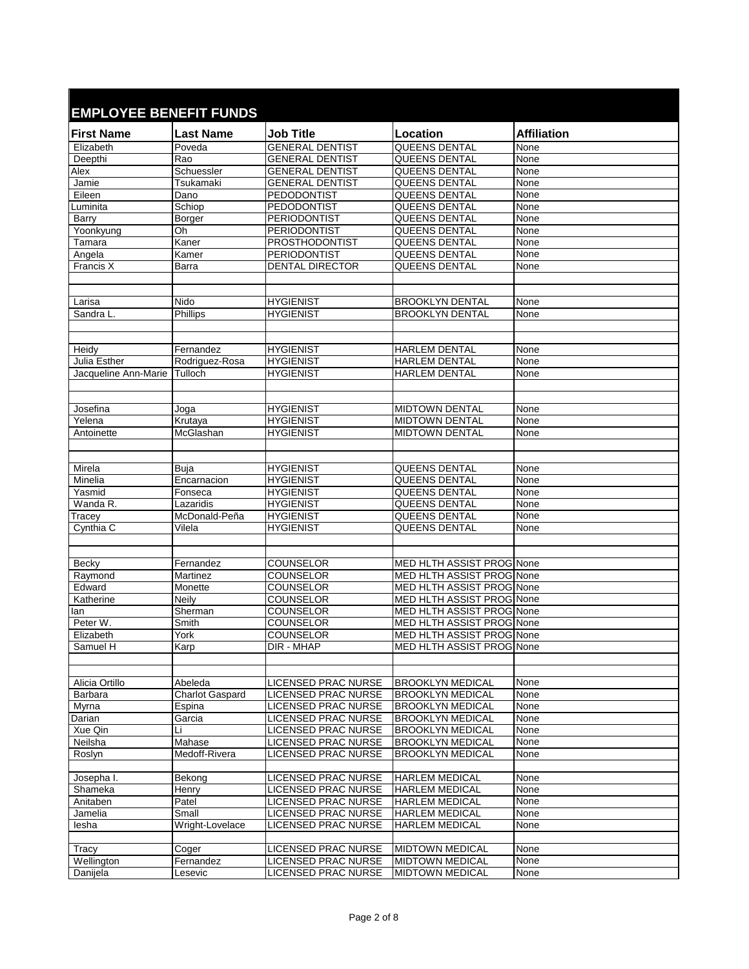| <b>First Name</b>            | <b>Last Name</b>                  | <b>Job Title</b>           | Location                         | <b>Affiliation</b> |
|------------------------------|-----------------------------------|----------------------------|----------------------------------|--------------------|
| Elizabeth                    | Poveda                            | <b>GENERAL DENTIST</b>     | QUEENS DENTAL                    | None               |
| Deepthi                      | Rao                               | <b>GENERAL DENTIST</b>     | QUEENS DENTAL                    | None               |
| Alex                         | Schuessler                        | <b>GENERAL DENTIST</b>     | <b>QUEENS DENTAL</b>             | None               |
| Jamie                        | Tsukamaki                         | <b>GENERAL DENTIST</b>     | QUEENS DENTAL                    | None               |
| Eileen                       | Dano                              | PEDODONTIST                | QUEENS DENTAL                    | None               |
| Luminita                     | Schiop                            | PEDODONTIST                | QUEENS DENTAL                    | None               |
| Barry                        | Borger                            | PERIODONTIST               | QUEENS DENTAL                    | None               |
| Yoonkyung                    | Oh                                | <b>PERIODONTIST</b>        | QUEENS DENTAL                    | None               |
| Tamara                       | Kaner                             | <b>PROSTHODONTIST</b>      | QUEENS DENTAL                    | None               |
| Angela                       | Kamer                             | <b>PERIODONTIST</b>        | <b>QUEENS DENTAL</b>             | None               |
| Francis X                    | Barra                             | <b>DENTAL DIRECTOR</b>     | <b>QUEENS DENTAL</b>             | <b>None</b>        |
|                              |                                   |                            |                                  |                    |
| Larisa                       | Nido                              | <b>HYGIENIST</b>           | <b>BROOKLYN DENTAL</b>           | None               |
| Sandra L.                    | Phillips                          | <b>HYGIENIST</b>           | <b>BROOKLYN DENTAL</b>           | None               |
|                              |                                   |                            |                                  |                    |
|                              |                                   |                            |                                  |                    |
| Heidy                        | Fernandez                         | <b>HYGIENIST</b>           | <b>HARLEM DENTAL</b>             | None               |
| Julia Esther                 | Rodriguez-Rosa                    | <b>HYGIENIST</b>           | <b>HARLEM DENTAL</b>             | None               |
| Jacqueline Ann-Marie Tulloch |                                   | <b>HYGIENIST</b>           | <b>HARLEM DENTAL</b>             | None               |
|                              |                                   |                            |                                  |                    |
|                              |                                   |                            |                                  |                    |
| Josefina                     | Joga                              | <b>HYGIENIST</b>           | <b>MIDTOWN DENTAL</b>            | None               |
| Yelena                       | Krutaya                           | <b>HYGIENIST</b>           | <b>MIDTOWN DENTAL</b>            | None               |
| Antoinette                   | McGlashan                         | <b>HYGIENIST</b>           | <b>MIDTOWN DENTAL</b>            | None               |
|                              |                                   |                            |                                  |                    |
|                              |                                   |                            |                                  |                    |
| Mirela                       | Buja                              | <b>HYGIENIST</b>           | QUEENS DENTAL                    | None               |
| Minelia                      | Encarnacion                       | <b>HYGIENIST</b>           | QUEENS DENTAL                    | None               |
| Yasmid                       | Fonseca                           | <b>HYGIENIST</b>           | QUEENS DENTAL                    | None               |
| Wanda R.                     | Lazaridis                         | <b>HYGIENIST</b>           | QUEENS DENTAL                    | None               |
| Tracey                       | McDonald-Peña                     | <b>HYGIENIST</b>           | QUEENS DENTAL                    | None               |
| Cynthia C                    | Vilela                            | <b>HYGIENIST</b>           | QUEENS DENTAL                    | None               |
|                              |                                   |                            |                                  |                    |
|                              |                                   |                            |                                  |                    |
| Becky                        | Fernandez                         | <b>COUNSELOR</b>           | MED HLTH ASSIST PROG None        |                    |
| Raymond                      | Martinez                          | COUNSELOR                  | MED HLTH ASSIST PROG None        |                    |
| Edward                       | Monette                           | <b>COUNSELOR</b>           | MED HLTH ASSIST PROG None        |                    |
| Katherine                    | Neily                             | <b>COUNSELOR</b>           | MED HLTH ASSIST PROG None        |                    |
| lan                          | Sherman                           | <b>COUNSELOR</b>           | <b>MED HLTH ASSIST PROG None</b> |                    |
| Peter W.                     | Smith                             | COUNSELOR                  | MED HLTH ASSIST PROG None        |                    |
| Flizabeth                    | York                              | <b>COUNSELOR</b>           | MED HLTH ASSIST PROG None        |                    |
| Samuel H                     | Karp                              | DIR - MHAP                 | MED HLTH ASSIST PROG None        |                    |
|                              |                                   |                            |                                  |                    |
|                              |                                   | LICENSED PRAC NURSE        | <b>BROOKLYN MEDICAL</b>          |                    |
| Alicia Ortillo<br>Barbara    | Abeleda<br><b>Charlot Gaspard</b> | <b>LICENSED PRAC NURSE</b> | <b>BROOKLYN MEDICAL</b>          | None<br>None       |
| Myrna                        | Espina                            | LICENSED PRAC NURSE        | <b>BROOKLYN MEDICAL</b>          | None               |
| Darian                       | Garcia                            | LICENSED PRAC NURSE        | <b>BROOKLYN MEDICAL</b>          | None               |
| Xue Qin                      | Li                                | LICENSED PRAC NURSE        | <b>BROOKLYN MEDICAL</b>          | None               |
| Neilsha                      | Mahase                            | LICENSED PRAC NURSE        | <b>BROOKLYN MEDICAL</b>          | None               |
| Roslyn                       | Medoff-Rivera                     | LICENSED PRAC NURSE        | <b>BROOKLYN MEDICAL</b>          | None               |
|                              |                                   |                            |                                  |                    |
| Josepha I.                   | Bekong                            | LICENSED PRAC NURSE        | <b>HARLEM MEDICAL</b>            | None               |
| Shameka                      | Henry                             | LICENSED PRAC NURSE        | <b>HARLEM MEDICAL</b>            | None               |
| Anitaben                     | Patel                             | LICENSED PRAC NURSE        | <b>HARLEM MEDICAL</b>            | None               |
| Jamelia                      | Small                             | LICENSED PRAC NURSE        | <b>HARLEM MEDICAL</b>            | None               |
| lesha                        | Wright-Lovelace                   | LICENSED PRAC NURSE        | <b>HARLEM MEDICAL</b>            | None               |
|                              |                                   |                            |                                  |                    |
| Tracy                        | Coger                             | LICENSED PRAC NURSE        | <b>MIDTOWN MEDICAL</b>           | None               |
| Wellington                   | Fernandez                         | LICENSED PRAC NURSE        | <b>MIDTOWN MEDICAL</b>           | None               |
| Danijela                     | Lesevic                           | LICENSED PRAC NURSE        | <b>MIDTOWN MEDICAL</b>           | None               |
|                              |                                   |                            |                                  |                    |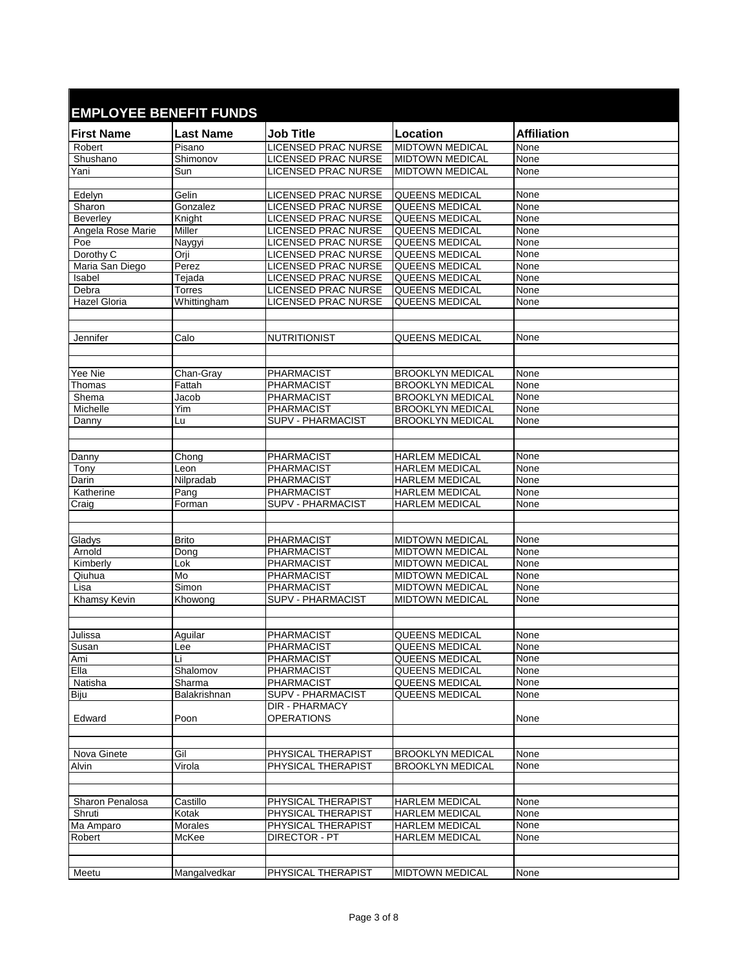| <b>First Name</b>        | <b>Last Name</b> | <b>Job Title</b>                           | Location                                           | <b>Affiliation</b> |
|--------------------------|------------------|--------------------------------------------|----------------------------------------------------|--------------------|
| Robert                   | Pisano           | LICENSED PRAC NURSE                        | <b>MIDTOWN MEDICAL</b>                             | None               |
| Shushano                 | Shimonov         | <b>LICENSED PRAC NURSE</b>                 | <b>MIDTOWN MEDICAL</b>                             | None               |
| Yani                     | Sun              | <b>LICENSED PRAC NURSE</b>                 | <b>MIDTOWN MEDICAL</b>                             | None               |
|                          |                  |                                            |                                                    |                    |
| Edelyn                   | Gelin            | LICENSED PRAC NURSE                        | <b>QUEENS MEDICAL</b>                              | None               |
| Sharon                   | Gonzalez         | <b>LICENSED PRAC NURSE</b>                 | <b>QUEENS MEDICAL</b>                              | None               |
| <b>Beverlev</b>          | Knight<br>Miller | LICENSED PRAC NURSE                        | <b>QUEENS MEDICAL</b><br><b>QUEENS MEDICAL</b>     | None<br>None       |
| Angela Rose Marie<br>Poe | Naygyi           | LICENSED PRAC NURSE<br>LICENSED PRAC NURSE | QUEENS MEDICAL                                     | None               |
| Dorothy C                | Orji             | <b>LICENSED PRAC NURSE</b>                 | QUEENS MEDICAL                                     | None               |
| Maria San Diego          | Perez            | LICENSED PRAC NURSE                        | QUEENS MEDICAL                                     | None               |
| Isabel                   | Tejada           | <b>LICENSED PRAC NURSE</b>                 | QUEENS MEDICAL                                     | None               |
| Debra                    | <b>Torres</b>    | LICENSED PRAC NURSE                        | <b>QUEENS MEDICAL</b>                              | None               |
| <b>Hazel Gloria</b>      | Whittingham      | LICENSED PRAC NURSE                        | QUEENS MEDICAL                                     | None               |
|                          |                  |                                            |                                                    |                    |
|                          |                  |                                            |                                                    |                    |
| Jennifer                 | Calo             | <b>NUTRITIONIST</b>                        | QUEENS MEDICAL                                     | None               |
|                          |                  |                                            |                                                    |                    |
|                          |                  |                                            |                                                    |                    |
| Yee Nie                  | Chan-Gray        | <b>PHARMACIST</b>                          | <b>BROOKLYN MEDICAL</b>                            | None               |
| Thomas                   | Fattah<br>Jacob  | PHARMACIST<br>PHARMACIST                   | <b>BROOKLYN MEDICAL</b><br><b>BROOKLYN MEDICAL</b> | None               |
| Shema<br>Michelle        | Yim              | <b>PHARMACIST</b>                          | <b>BROOKLYN MEDICAL</b>                            | None<br>None       |
| Danny                    | Lu               | <b>SUPV - PHARMACIST</b>                   | <b>BROOKLYN MEDICAL</b>                            | None               |
|                          |                  |                                            |                                                    |                    |
|                          |                  |                                            |                                                    |                    |
| Danny                    | Chong            | <b>PHARMACIST</b>                          | <b>HARLEM MEDICAL</b>                              | None               |
| Tony                     | Leon             | <b>PHARMACIST</b>                          | <b>HARLEM MEDICAL</b>                              | None               |
| Darin                    | Nilpradab        | <b>PHARMACIST</b>                          | <b>HARLEM MEDICAL</b>                              | None               |
| Katherine                | Pang             | <b>PHARMACIST</b>                          | <b>HARLEM MEDICAL</b>                              | None               |
| Craig                    | Forman           | <b>SUPV - PHARMACIST</b>                   | <b>HARLEM MEDICAL</b>                              | None               |
|                          |                  |                                            |                                                    |                    |
|                          |                  |                                            |                                                    |                    |
| Gladys                   | <b>Brito</b>     | PHARMACIST                                 | <b>MIDTOWN MEDICAL</b>                             | None               |
| Arnold                   | Dong             | PHARMACIST                                 | <b>MIDTOWN MEDICAL</b>                             | None               |
| Kimberly                 | Lok              | PHARMACIST                                 | <b>MIDTOWN MEDICAL</b>                             | None               |
| Qiuhua                   | Mo               | PHARMACIST                                 | <b>MIDTOWN MEDICAL</b>                             | None               |
| Lisa                     | Simon            | PHARMACIST                                 | <b>MIDTOWN MEDICAL</b>                             | None               |
| <b>Khamsy Kevin</b>      | Khowong          | <b>SUPV - PHARMACIST</b>                   | <b>MIDTOWN MEDICAL</b>                             | None               |
|                          |                  |                                            |                                                    |                    |
| Julissa                  | Aquilar          | <b>PHARMACIST</b>                          | <b>QUEENS MEDICAL</b>                              | None               |
| Susan                    | Lee              | PHARMACIST                                 | QUEENS MEDICAL                                     | None               |
| Ami                      | Li               | <b>PHARMACIST</b>                          | QUEENS MEDICAL                                     | None               |
| Ella                     | Shalomov         | <b>PHARMACIST</b>                          | <b>QUEENS MEDICAL</b>                              | None               |
| Natisha                  | Sharma           | PHARMACIST                                 | QUEENS MEDICAL                                     | None               |
| Biju                     | Balakrishnan     | SUPV - PHARMACIST                          | <b>QUEENS MEDICAL</b>                              | None               |
|                          |                  | <b>DIR - PHARMACY</b>                      |                                                    |                    |
| Edward                   | Poon             | OPERATIONS                                 |                                                    | None               |
|                          |                  |                                            |                                                    |                    |
|                          |                  |                                            |                                                    |                    |
| Nova Ginete              | Gil              | PHYSICAL THERAPIST                         | <b>BROOKLYN MEDICAL</b>                            | None               |
| Alvin                    | Virola           | PHYSICAL THERAPIST                         | <b>BROOKLYN MEDICAL</b>                            | None               |
|                          |                  |                                            |                                                    |                    |
|                          |                  |                                            |                                                    |                    |
| <b>Sharon Penalosa</b>   | Castillo         | PHYSICAL THERAPIST                         | <b>HARLEM MEDICAL</b>                              | None               |
| Shruti                   | Kotak            | PHYSICAL THERAPIST                         | <b>HARLEM MEDICAL</b>                              | None               |
| Ma Amparo                | Morales          | PHYSICAL THERAPIST                         | <b>HARLEM MEDICAL</b>                              | None               |
| Robert                   | McKee            | DIRECTOR - PT                              | <b>HARLEM MEDICAL</b>                              | None               |
|                          |                  |                                            |                                                    |                    |
|                          |                  |                                            |                                                    |                    |
| Meetu                    | Mangalvedkar     | PHYSICAL THERAPIST                         | <b>MIDTOWN MEDICAL</b>                             | None               |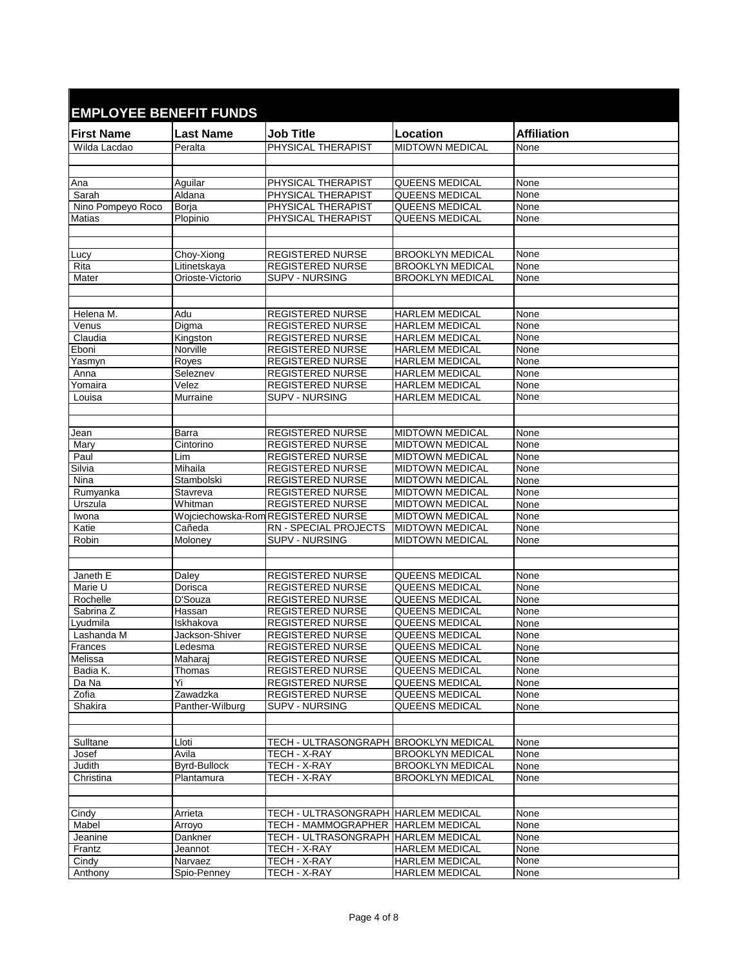| <b>EMPLOYEE BENEFIT FUNDS</b> |                            |                                             |                                                    |                    |  |  |
|-------------------------------|----------------------------|---------------------------------------------|----------------------------------------------------|--------------------|--|--|
| <b>First Name</b>             | <b>Last Name</b>           | <b>Job Title</b>                            | Location                                           | <b>Affiliation</b> |  |  |
| Wilda Lacdao                  | Peralta                    | PHYSICAL THERAPIST                          | <b>MIDTOWN MEDICAL</b>                             | None               |  |  |
|                               |                            |                                             |                                                    |                    |  |  |
| Ana                           | Aguilar                    | PHYSICAL THERAPIST                          | <b>QUEENS MEDICAL</b>                              | None               |  |  |
| Sarah                         | Aldana                     | PHYSICAL THERAPIST                          | QUEENS MEDICAL                                     | None               |  |  |
| Nino Pompeyo Roco             | Borja                      | PHYSICAL THERAPIST                          | <b>QUEENS MEDICAL</b>                              | None               |  |  |
| <b>Matias</b>                 | Plopinio                   | PHYSICAL THERAPIST                          | <b>QUEENS MEDICAL</b>                              | None               |  |  |
|                               |                            |                                             |                                                    |                    |  |  |
|                               |                            |                                             |                                                    |                    |  |  |
| Lucy                          | Choy-Xiong                 | <b>REGISTERED NURSE</b>                     | <b>BROOKLYN MEDICAL</b>                            | None               |  |  |
| Rita                          | Litinetskaya               | <b>REGISTERED NURSE</b>                     | <b>BROOKLYN MEDICAL</b>                            | None               |  |  |
| Mater                         | Orioste-Victorio           | SUPV - NURSING                              | <b>BROOKLYN MEDICAL</b>                            | None               |  |  |
|                               |                            |                                             |                                                    |                    |  |  |
|                               |                            |                                             |                                                    |                    |  |  |
| Helena M.                     | Adu                        | <b>REGISTERED NURSE</b>                     | <b>HARLEM MEDICAL</b>                              | None               |  |  |
| Venus                         | Digma                      | <b>REGISTERED NURSE</b>                     | <b>HARLEM MEDICAL</b>                              | None               |  |  |
| Claudia<br>Eboni              | Kingston<br>Norville       | <b>REGISTERED NURSE</b><br>REGISTERED NURSE | <b>HARLEM MEDICAL</b><br><b>HARLEM MEDICAL</b>     | None<br>None       |  |  |
| Yasmyn                        | Royes                      | <b>REGISTERED NURSE</b>                     | <b>HARLEM MEDICAL</b>                              | None               |  |  |
| Anna                          | Seleznev                   | <b>REGISTERED NURSE</b>                     | <b>HARLEM MEDICAL</b>                              | None               |  |  |
| Yomaira                       | Velez                      | <b>REGISTERED NURSE</b>                     | <b>HARLEM MEDICAL</b>                              | None               |  |  |
| Louisa                        | Murraine                   | <b>SUPV - NURSING</b>                       | <b>HARLEM MEDICAL</b>                              | None               |  |  |
|                               |                            |                                             |                                                    |                    |  |  |
|                               |                            |                                             |                                                    |                    |  |  |
| Jean                          | Barra                      | <b>REGISTERED NURSE</b>                     | <b>MIDTOWN MEDICAL</b>                             | None               |  |  |
| Mary                          | Cintorino                  | <b>REGISTERED NURSE</b>                     | <b>MIDTOWN MEDICAL</b>                             | None               |  |  |
| Paul                          | Lim                        | <b>REGISTERED NURSE</b>                     | <b>MIDTOWN MEDICAL</b>                             | None               |  |  |
| Silvia                        | Mihaila                    | <b>REGISTERED NURSE</b>                     | <b>MIDTOWN MEDICAL</b>                             | None               |  |  |
| Nina                          | Stambolski                 | <b>REGISTERED NURSE</b>                     | <b>MIDTOWN MEDICAL</b>                             | None               |  |  |
| Rumyanka                      | Stavreva                   | <b>REGISTERED NURSE</b>                     | <b>MIDTOWN MEDICAL</b>                             | None               |  |  |
| Urszula                       | Whitman                    | <b>REGISTERED NURSE</b>                     | <b>MIDTOWN MEDICAL</b>                             | None               |  |  |
| Iwona                         |                            | Wojciechowska-Rom REGISTERED NURSE          | <b>MIDTOWN MEDICAL</b>                             | None               |  |  |
| Katie                         | Cañeda                     | RN - SPECIAL PROJECTS                       | <b>MIDTOWN MEDICAL</b>                             | None               |  |  |
| Robin                         | Moloney                    | SUPV - NURSING                              | <b>MIDTOWN MEDICAL</b>                             | None               |  |  |
|                               |                            |                                             |                                                    |                    |  |  |
| Janeth E                      | Daley                      | <b>REGISTERED NURSE</b>                     | <b>QUEENS MEDICAL</b>                              | None               |  |  |
| Marie U                       | Dorisca                    | <b>REGISTERED NURSE</b>                     | <b>QUEENS MEDICAL</b>                              | None               |  |  |
| Rochelle                      | D'Souza                    | <b>REGISTERED NURSE</b>                     | QUEENS MEDICAL                                     | None               |  |  |
| Sabrina Z                     | Hassan                     | <b>REGISTERED NURSE</b>                     | QUEENS MEDICAL                                     | None               |  |  |
| Lyudmila                      | Iskhakova                  | <b>REGISTERED NURSE</b>                     | <b>QUEENS MEDICAL</b>                              | None               |  |  |
| Lashanda M                    | Jackson-Shiver             | <b>REGISTERED NURSE</b>                     | <b>QUEENS MEDICAL</b>                              | None               |  |  |
| Frances                       | Ledesma                    | <b>REGISTERED NURSE</b>                     | <b>QUEENS MEDICAL</b>                              | None               |  |  |
| Melissa                       | Maharaj                    | <b>REGISTERED NURSE</b>                     | QUEENS MEDICAL                                     | None               |  |  |
| Badia K.                      | Thomas                     | <b>REGISTERED NURSE</b>                     | <b>QUEENS MEDICAL</b>                              | None               |  |  |
| Da Na                         | Yi                         | <b>REGISTERED NURSE</b>                     | QUEENS MEDICAL                                     | None               |  |  |
| Zofia                         | Zawadzka                   | <b>REGISTERED NURSE</b>                     | <b>QUEENS MEDICAL</b>                              | None               |  |  |
| Shakira                       | Panther-Wilburg            | <b>SUPV - NURSING</b>                       | <b>QUEENS MEDICAL</b>                              | None               |  |  |
|                               |                            |                                             |                                                    |                    |  |  |
|                               |                            |                                             |                                                    |                    |  |  |
| Sulltane                      | Lloti                      | TECH - ULTRASONGRAPH BROOKLYN MEDICAL       |                                                    | None               |  |  |
| Josef                         | Avila                      | TECH - X-RAY                                | <b>BROOKLYN MEDICAL</b><br><b>BROOKLYN MEDICAL</b> | None               |  |  |
| Judith                        | Byrd-Bullock<br>Plantamura | TECH - X-RAY<br>TECH - X-RAY                | <b>BROOKLYN MEDICAL</b>                            | None<br>None       |  |  |
| Christina                     |                            |                                             |                                                    |                    |  |  |
|                               |                            |                                             |                                                    |                    |  |  |
| Cindy                         | Arrieta                    | TECH - ULTRASONGRAPH HARLEM MEDICAL         |                                                    | None               |  |  |
| Mabel                         | Arroyo                     | TECH - MAMMOGRAPHER HARLEM MEDICAL          |                                                    | None               |  |  |
| Jeanine                       | Dankner                    | TECH - ULTRASONGRAPH HARLEM MEDICAL         |                                                    | None               |  |  |
| Frantz                        | Jeannot                    | TECH - X-RAY                                | <b>HARLEM MEDICAL</b>                              | None               |  |  |
| Cindy                         | Narvaez                    | TECH - X-RAY                                | <b>HARLEM MEDICAL</b>                              | None               |  |  |
| Anthony                       | Spio-Penney                | TECH - X-RAY                                | <b>HARLEM MEDICAL</b>                              | None               |  |  |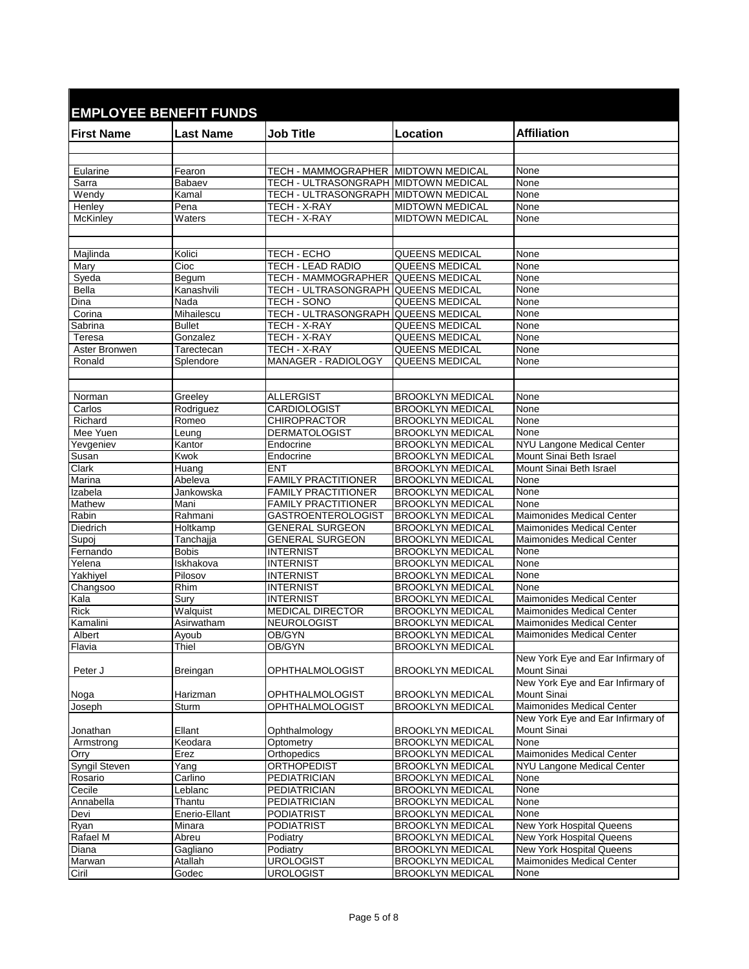|                   | <b>EMPLOYEE BENEFIT FUNDS</b> |                                           |                                                    |                                                                                       |
|-------------------|-------------------------------|-------------------------------------------|----------------------------------------------------|---------------------------------------------------------------------------------------|
| <b>First Name</b> | <b>Last Name</b>              | <b>Job Title</b>                          | Location                                           | <b>Affiliation</b>                                                                    |
|                   |                               |                                           |                                                    |                                                                                       |
|                   |                               |                                           |                                                    |                                                                                       |
| Eularine          | Fearon                        | TECH - MAMMOGRAPHER MIDTOWN MEDICAL       |                                                    | None                                                                                  |
| Sarra             | Babaev                        | TECH - ULTRASONGRAPH MIDTOWN MEDICAL      |                                                    | <b>None</b>                                                                           |
| Wendy             | Kamal                         | TECH - ULTRASONGRAPH MIDTOWN MEDICAL      |                                                    | None                                                                                  |
| Henley            | Pena                          | TECH - X-RAY<br>TECH - X-RAY              | <b>MIDTOWN MEDICAL</b>                             | None                                                                                  |
| McKinley          | Waters                        |                                           | <b>MIDTOWN MEDICAL</b>                             | None                                                                                  |
|                   |                               |                                           |                                                    |                                                                                       |
| Majlinda          | Kolici                        | TECH - ECHO                               | <b>QUEENS MEDICAL</b>                              | None                                                                                  |
| Mary              | Cioc                          | TECH - LEAD RADIO                         | QUEENS MEDICAL                                     | None                                                                                  |
| Syeda             | Begum                         | TECH - MAMMOGRAPHER                       | QUEENS MEDICAL                                     | None                                                                                  |
| <b>Bella</b>      | Kanashvili                    | TECH - ULTRASONGRAPH QUEENS MEDICAL       |                                                    | None                                                                                  |
| Dina              | Nada                          | <b>TECH - SONO</b>                        | QUEENS MEDICAL                                     | None                                                                                  |
| Corina            | Mihailescu                    | TECH - ULTRASONGRAPH QUEENS MEDICAL       |                                                    | None                                                                                  |
| Sabrina           | <b>Bullet</b>                 | TECH - X-RAY                              | QUEENS MEDICAL                                     | None                                                                                  |
| Teresa            | Gonzalez                      | TECH - X-RAY                              | <b>QUEENS MEDICAL</b>                              | None                                                                                  |
| Aster Bronwen     | Tarectecan                    | TECH - X-RAY                              | <b>QUEENS MEDICAL</b>                              | None                                                                                  |
| Ronald            | Splendore                     | <b>MANAGER - RADIOLOGY</b>                | <b>QUEENS MEDICAL</b>                              | None                                                                                  |
|                   |                               |                                           |                                                    |                                                                                       |
|                   |                               |                                           |                                                    |                                                                                       |
| Norman            | Greeley                       | <b>ALLERGIST</b>                          | <b>BROOKLYN MEDICAL</b>                            | None                                                                                  |
| Carlos            | Rodriguez                     | CARDIOLOGIST                              | <b>BROOKLYN MEDICAL</b>                            | None                                                                                  |
| Richard           | Romeo                         | <b>CHIROPRACTOR</b>                       | <b>BROOKLYN MEDICAL</b>                            | None                                                                                  |
| Mee Yuen          | Leung                         | <b>DERMATOLOGIST</b>                      | <b>BROOKLYN MEDICAL</b>                            | None                                                                                  |
| Yevgeniev         | Kantor                        | Endocrine                                 | <b>BROOKLYN MEDICAL</b>                            | NYU Langone Medical Center<br>Mount Sinai Beth Israel                                 |
| Susan<br>Clark    | Kwok<br>Huang                 | Endocrine<br><b>ENT</b>                   | <b>BROOKLYN MEDICAL</b><br><b>BROOKLYN MEDICAL</b> | Mount Sinai Beth Israel                                                               |
| Marina            | Abeleva                       | <b>FAMILY PRACTITIONER</b>                | <b>BROOKLYN MEDICAL</b>                            | None                                                                                  |
| Izabela           | Jankowska                     | <b>FAMILY PRACTITIONER</b>                | <b>BROOKLYN MEDICAL</b>                            | None                                                                                  |
| Mathew            | Mani                          | <b>FAMILY PRACTITIONER</b>                | <b>BROOKLYN MEDICAL</b>                            | None                                                                                  |
| Rabin             | Rahmani                       | <b>GASTROENTEROLOGIST</b>                 | <b>BROOKLYN MEDICAL</b>                            | Maimonides Medical Center                                                             |
| Diedrich          | Holtkamp                      | <b>GENERAL SURGEON</b>                    | <b>BROOKLYN MEDICAL</b>                            | <b>Maimonides Medical Center</b>                                                      |
| Supoj             | Tanchajja                     | <b>GENERAL SURGEON</b>                    | <b>BROOKLYN MEDICAL</b>                            | <b>Maimonides Medical Center</b>                                                      |
| Fernando          | <b>Bobis</b>                  | <b>INTERNIST</b>                          | <b>BROOKLYN MEDICAL</b>                            | None                                                                                  |
| Yelena            | Iskhakova                     | <b>INTERNIST</b>                          | <b>BROOKLYN MEDICAL</b>                            | None                                                                                  |
| Yakhiyel          | Pilosov                       | <b>INTERNIST</b>                          | <b>BROOKLYN MEDICAL</b>                            | None                                                                                  |
| Changsoo          | Rhim                          | <b>INTERNIST</b>                          | <b>BROOKLYN MEDICAL</b>                            | None                                                                                  |
| Kala              | Sury                          | <b>INTERNIST</b>                          | <b>BROOKLYN MEDICAL</b>                            | <b>Maimonides Medical Center</b>                                                      |
| <b>Rick</b>       | Walquist                      | <b>MEDICAL DIRECTOR</b>                   | <b>BROOKLYN MEDICAL</b>                            | Maimonides Medical Center                                                             |
| Kamalini          | Asirwatham                    | NEUROLOGIST                               | <b>BROOKLYN MEDICAL</b>                            | <b>Maimonides Medical Center</b>                                                      |
| Albert            | Ayoub                         | OB/GYN                                    | <b>BROOKLYN MEDICAL</b>                            | <b>Maimonides Medical Center</b>                                                      |
| Flavia            | Thiel                         | OB/GYN                                    | <b>BROOKLYN MEDICAL</b>                            |                                                                                       |
| Peter J           | Breingan                      | <b>OPHTHALMOLOGIST</b>                    | <b>BROOKLYN MEDICAL</b>                            | New York Eye and Ear Infirmary of<br>Mount Sinai<br>New York Eye and Ear Infirmary of |
|                   |                               |                                           | <b>BROOKLYN MEDICAL</b>                            | Mount Sinai                                                                           |
| Noga<br>Joseph    | Harizman<br>Sturm             | OPHTHALMOLOGIST<br><b>OPHTHALMOLOGIST</b> | <b>BROOKLYN MEDICAL</b>                            | Maimonides Medical Center                                                             |
|                   |                               |                                           |                                                    | New York Eye and Ear Infirmary of                                                     |
| Jonathan          | Ellant                        | Ophthalmology                             | <b>BROOKLYN MEDICAL</b>                            | Mount Sinai                                                                           |
| Armstrong         | Keodara                       | Optometry                                 | <b>BROOKLYN MEDICAL</b>                            | None                                                                                  |
| Orry              | Erez                          | Orthopedics                               | <b>BROOKLYN MEDICAL</b>                            | Maimonides Medical Center                                                             |
| Syngil Steven     | Yang                          | ORTHOPEDIST                               | <b>BROOKLYN MEDICAL</b>                            | NYU Langone Medical Center                                                            |
| Rosario           | Carlino                       | <b>PEDIATRICIAN</b>                       | <b>BROOKLYN MEDICAL</b>                            | None                                                                                  |
| Cecile            | Leblanc                       | PEDIATRICIAN                              | <b>BROOKLYN MEDICAL</b>                            | None                                                                                  |
| Annabella         | Thantu                        | <b>PEDIATRICIAN</b>                       | <b>BROOKLYN MEDICAL</b>                            | None                                                                                  |
| Devi              | Enerio-Ellant                 | <b>PODIATRIST</b>                         | <b>BROOKLYN MEDICAL</b>                            | None                                                                                  |
| Ryan              | Minara                        | <b>PODIATRIST</b>                         | <b>BROOKLYN MEDICAL</b>                            | New York Hospital Queens                                                              |
| Rafael M          | Abreu                         | Podiatry                                  | <b>BROOKLYN MEDICAL</b>                            | New York Hospital Queens                                                              |
| Diana             | Gagliano                      | Podiatry                                  | <b>BROOKLYN MEDICAL</b>                            | New York Hospital Queens                                                              |
| Marwan            | Atallah                       | <b>UROLOGIST</b>                          | <b>BROOKLYN MEDICAL</b>                            | Maimonides Medical Center                                                             |
| Ciril             | Godec                         | <b>UROLOGIST</b>                          | <b>BROOKLYN MEDICAL</b>                            | None                                                                                  |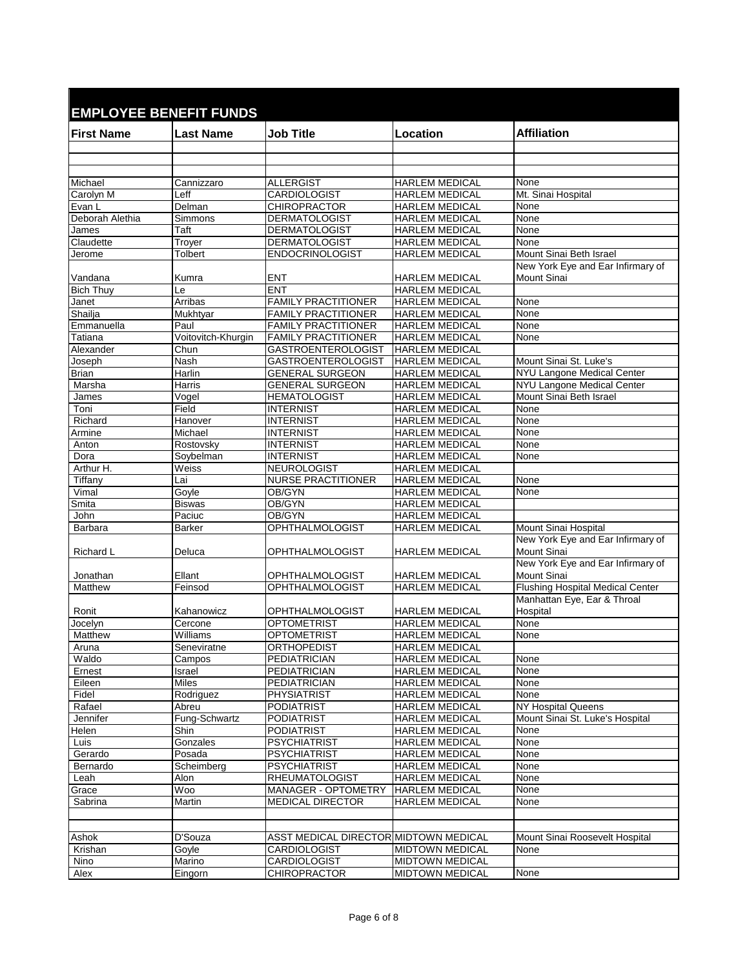| <b>EMPLOYEE BENEFIT FUNDS</b> |                    |                                                  |                                                |                                                        |
|-------------------------------|--------------------|--------------------------------------------------|------------------------------------------------|--------------------------------------------------------|
|                               |                    |                                                  |                                                |                                                        |
| <b>First Name</b>             | <b>Last Name</b>   | <b>Job Title</b>                                 | Location                                       | <b>Affiliation</b>                                     |
|                               |                    |                                                  |                                                |                                                        |
|                               |                    |                                                  |                                                |                                                        |
| Michael                       | Cannizzaro         | <b>ALLERGIST</b>                                 | <b>HARLEM MEDICAL</b>                          | None                                                   |
| Carolyn M                     | Leff               | CARDIOLOGIST                                     | <b>HARLEM MEDICAL</b>                          | Mt. Sinai Hospital                                     |
| Evan L                        | Delman             | <b>CHIROPRACTOR</b>                              | <b>HARLEM MEDICAL</b>                          | None                                                   |
| Deborah Alethia               | Simmons            | <b>DERMATOLOGIST</b>                             | <b>HARLEM MEDICAL</b>                          | None                                                   |
| James                         | Taft               | <b>DERMATOLOGIST</b>                             | <b>HARLEM MEDICAL</b>                          | None                                                   |
| Claudette<br>Jerome           | Troyer<br>Tolbert  | <b>DERMATOLOGIST</b><br><b>ENDOCRINOLOGIST</b>   | <b>HARLEM MEDICAL</b><br><b>HARLEM MEDICAL</b> | None<br>Mount Sinai Beth Israel                        |
|                               |                    |                                                  |                                                | New York Eye and Ear Infirmary of                      |
| Vandana                       | Kumra              | <b>ENT</b>                                       | HARLEM MEDICAL                                 | <b>Mount Sinai</b>                                     |
| <b>Bich Thuy</b>              | Le                 | <b>ENT</b>                                       | <b>HARLEM MEDICAL</b>                          |                                                        |
| Janet                         | Arribas            | <b>FAMILY PRACTITIONER</b>                       | <b>HARLEM MEDICAL</b>                          | None                                                   |
| Shailja                       | Mukhtyar           | <b>FAMILY PRACTITIONER</b>                       | <b>HARLEM MEDICAL</b>                          | None                                                   |
| Emmanuella                    | Paul               | <b>FAMILY PRACTITIONER</b>                       | <b>HARLEM MEDICAL</b>                          | None                                                   |
| Tatiana                       | Voitovitch-Khurgin | <b>FAMILY PRACTITIONER</b>                       | <b>HARLEM MEDICAL</b>                          | None                                                   |
| Alexander                     | Chun               | <b>GASTROENTEROLOGIST</b>                        | <b>HARLEM MEDICAL</b>                          |                                                        |
| Joseph                        | Nash               | <b>GASTROENTEROLOGIST</b>                        | <b>HARLEM MEDICAL</b>                          | Mount Sinai St. Luke's                                 |
| <b>Brian</b><br>Marsha        | Harlin<br>Harris   | <b>GENERAL SURGEON</b><br><b>GENERAL SURGEON</b> | <b>HARLEM MEDICAL</b>                          | NYU Langone Medical Center                             |
| James                         | Vogel              | <b>HEMATOLOGIST</b>                              | <b>HARLEM MEDICAL</b><br><b>HARLEM MEDICAL</b> | NYU Langone Medical Center<br>Mount Sinai Beth Israel  |
| Toni                          | Field              | <b>INTERNIST</b>                                 | <b>HARLEM MEDICAL</b>                          | None                                                   |
| Richard                       | Hanover            | <b>INTERNIST</b>                                 | <b>HARLEM MEDICAL</b>                          | None                                                   |
| Armine                        | Michael            | <b>INTERNIST</b>                                 | <b>HARLEM MEDICAL</b>                          | None                                                   |
| Anton                         | Rostovsky          | <b>INTERNIST</b>                                 | <b>HARLEM MEDICAL</b>                          | None                                                   |
| Dora                          | Soybelman          | <b>INTERNIST</b>                                 | <b>HARLEM MEDICAL</b>                          | None                                                   |
| Arthur H.                     | Weiss              | <b>NEUROLOGIST</b>                               | <b>HARLEM MEDICAL</b>                          |                                                        |
| Tiffany                       | Lai                | <b>NURSE PRACTITIONER</b>                        | <b>HARLEM MEDICAL</b>                          | None                                                   |
| Vimal                         | Goyle              | OB/GYN                                           | <b>HARLEM MEDICAL</b>                          | None                                                   |
| Smita                         | <b>Biswas</b>      | OB/GYN                                           | <b>HARLEM MEDICAL</b>                          |                                                        |
| John                          | Paciuc             | OB/GYN                                           | <b>HARLEM MEDICAL</b>                          |                                                        |
| Barbara                       | <b>Barker</b>      | <b>OPHTHALMOLOGIST</b>                           | <b>HARLEM MEDICAL</b>                          | Mount Sinai Hospital                                   |
| Richard L                     | Deluca             | OPHTHALMOLOGIST                                  | <b>HARLEM MEDICAL</b>                          | New York Eye and Ear Infirmary of<br>Mount Sinai       |
|                               |                    |                                                  | <b>HARLEM MEDICAL</b>                          | New York Eye and Ear Infirmary of                      |
| Jonathan<br>Matthew           | Ellant<br>Feinsod  | <b>OPHTHALMOLOGIST</b><br><b>OPHTHALMOLOGIST</b> | <b>HARLEM MEDICAL</b>                          | Mount Sinai<br><b>Flushing Hospital Medical Center</b> |
|                               |                    |                                                  |                                                | Manhattan Eye, Ear & Throal                            |
| Ronit                         | Kahanowicz         | <b>OPHTHALMOLOGIST</b>                           | <b>HARLEM MEDICAL</b>                          | Hospital                                               |
| Jocelyn                       | Cercone            | <b>OPTOMETRIST</b>                               | <b>HARLEM MEDICAL</b>                          | None                                                   |
| <b>Matthew</b>                | Williams           | <b>OPTOMETRIST</b>                               | <b>HARLEM MEDICAL</b>                          | None                                                   |
| Aruna                         | Seneviratne        | ORTHOPEDIST                                      | <b>HARLEM MEDICAL</b>                          |                                                        |
| Waldo                         | Campos             | <b>PEDIATRICIAN</b>                              | <b>HARLEM MEDICAL</b>                          | None                                                   |
| Ernest                        | <b>Israel</b>      | <b>PEDIATRICIAN</b>                              | <b>HARLEM MEDICAL</b>                          | None                                                   |
| Eileen                        | Miles              | PEDIATRICIAN                                     | <b>HARLEM MEDICAL</b>                          | None                                                   |
| Fidel                         | Rodriguez          | PHYSIATRIST                                      | <b>HARLEM MEDICAL</b>                          | None                                                   |
| Rafael                        | Abreu              | <b>PODIATRIST</b>                                | <b>HARLEM MEDICAL</b>                          | NY Hospital Queens                                     |
| Jennifer                      | Fung-Schwartz      | <b>PODIATRIST</b>                                | <b>HARLEM MEDICAL</b>                          | Mount Sinai St. Luke's Hospital                        |
| Helen                         | Shin               | <b>PODIATRIST</b>                                | <b>HARLEM MEDICAL</b>                          | None                                                   |
| Luis<br>Gerardo               | Gonzales<br>Posada | <b>PSYCHIATRIST</b><br><b>PSYCHIATRIST</b>       | <b>HARLEM MEDICAL</b><br><b>HARLEM MEDICAL</b> | None<br>None                                           |
| Bernardo                      | Scheimberg         | <b>PSYCHIATRIST</b>                              | <b>HARLEM MEDICAL</b>                          | None                                                   |
| Leah                          | Alon               | <b>RHEUMATOLOGIST</b>                            | <b>HARLEM MEDICAL</b>                          | None                                                   |
| Grace                         | Woo                | MANAGER - OPTOMETRY                              | <b>HARLEM MEDICAL</b>                          | None                                                   |
| Sabrina                       | Martin             | <b>MEDICAL DIRECTOR</b>                          | <b>HARLEM MEDICAL</b>                          | None                                                   |
|                               |                    |                                                  |                                                |                                                        |
|                               |                    |                                                  |                                                |                                                        |
| Ashok                         | D'Souza            | ASST MEDICAL DIRECTOR MIDTOWN MEDICAL            |                                                | Mount Sinai Roosevelt Hospital                         |
| Krishan                       | Goyle              | CARDIOLOGIST                                     | <b>MIDTOWN MEDICAL</b>                         | None                                                   |
| Nino                          | Marino             | CARDIOLOGIST                                     | <b>MIDTOWN MEDICAL</b>                         |                                                        |
| Alex                          | Eingorn            | <b>CHIROPRACTOR</b>                              | <b>MIDTOWN MEDICAL</b>                         | None                                                   |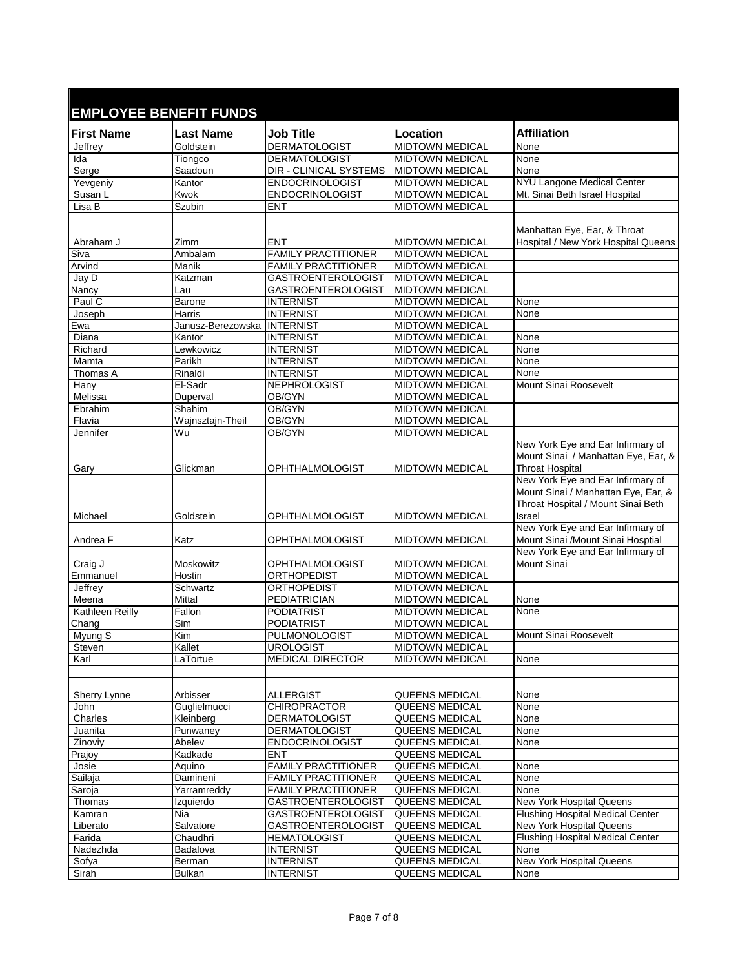| <b>EMPLOYEE BENEFIT FUNDS</b> |                    |                                             |                                                  |                                                                                                                          |  |
|-------------------------------|--------------------|---------------------------------------------|--------------------------------------------------|--------------------------------------------------------------------------------------------------------------------------|--|
| <b>First Name</b>             | <b>Last Name</b>   | <b>Job Title</b>                            | Location                                         | <b>Affiliation</b>                                                                                                       |  |
| Jeffrey                       | Goldstein          | <b>DERMATOLOGIST</b>                        | <b>MIDTOWN MEDICAL</b>                           | None                                                                                                                     |  |
| Ida                           | Tiongco            | <b>DERMATOLOGIST</b>                        | <b>MIDTOWN MEDICAL</b>                           | None                                                                                                                     |  |
| Serge                         | Saadoun            | <b>DIR - CLINICAL SYSTEMS</b>               | <b>MIDTOWN MEDICAL</b>                           | None                                                                                                                     |  |
| Yevgeniy                      | Kantor             | <b>ENDOCRINOLOGIST</b>                      | <b>MIDTOWN MEDICAL</b>                           | NYU Langone Medical Center                                                                                               |  |
| Susan L                       | Kwok               | <b>ENDOCRINOLOGIST</b>                      | <b>MIDTOWN MEDICAL</b>                           | Mt. Sinai Beth Israel Hospital                                                                                           |  |
| Lisa B                        | Szubin             | <b>ENT</b>                                  | <b>MIDTOWN MEDICAL</b>                           |                                                                                                                          |  |
| Abraham J                     | Zimm               | <b>ENT</b>                                  | <b>MIDTOWN MEDICAL</b>                           | Manhattan Eye, Ear, & Throat<br>Hospital / New York Hospital Queens                                                      |  |
| Siva                          | Ambalam            | <b>FAMILY PRACTITIONER</b>                  | <b>MIDTOWN MEDICAL</b>                           |                                                                                                                          |  |
| Arvind                        | Manik              | <b>FAMILY PRACTITIONER</b>                  | <b>MIDTOWN MEDICAL</b>                           |                                                                                                                          |  |
| Jay D                         | Katzman            | <b>GASTROENTEROLOGIST</b>                   | <b>MIDTOWN MEDICAL</b>                           |                                                                                                                          |  |
| Nancy                         | Lau                | <b>GASTROENTEROLOGIST</b>                   | <b>MIDTOWN MEDICAL</b>                           |                                                                                                                          |  |
| Paul C                        | <b>Barone</b>      | <b>INTERNIST</b>                            | <b>MIDTOWN MEDICAL</b>                           | None                                                                                                                     |  |
| Joseph                        | Harris             | <b>INTERNIST</b>                            | <b>MIDTOWN MEDICAL</b>                           | None                                                                                                                     |  |
| Ewa                           | Janusz-Berezowska  | <b>INTERNIST</b>                            | <b>MIDTOWN MEDICAL</b>                           |                                                                                                                          |  |
| Diana                         | Kantor             | <b>INTERNIST</b>                            | <b>MIDTOWN MEDICAL</b>                           | None                                                                                                                     |  |
| Richard                       | Lewkowicz          | <b>INTERNIST</b>                            | <b>MIDTOWN MEDICAL</b>                           | None                                                                                                                     |  |
| Mamta                         | Parikh             | <b>INTERNIST</b>                            | <b>MIDTOWN MEDICAL</b>                           | None                                                                                                                     |  |
| Thomas A                      | Rinaldi            | <b>INTERNIST</b>                            | <b>MIDTOWN MEDICAL</b>                           | None                                                                                                                     |  |
| Hany                          | El-Sadr            | NEPHROLOGIST                                | <b>MIDTOWN MEDICAL</b>                           | Mount Sinai Roosevelt                                                                                                    |  |
| Melissa                       | Duperval           | OB/GYN                                      | <b>MIDTOWN MEDICAL</b>                           |                                                                                                                          |  |
| Ebrahim                       | Shahim             | OB/GYN                                      | <b>MIDTOWN MEDICAL</b>                           |                                                                                                                          |  |
| Flavia                        | Wajnsztajn-Theil   | OB/GYN                                      | <b>MIDTOWN MEDICAL</b>                           |                                                                                                                          |  |
| Jennifer<br>Gary              | Wu<br>Glickman     | OB/GYN<br>OPHTHALMOLOGIST                   | <b>MIDTOWN MEDICAL</b><br><b>MIDTOWN MEDICAL</b> | New York Eye and Ear Infirmary of<br>Mount Sinai / Manhattan Eye, Ear, &<br><b>Throat Hospital</b>                       |  |
| Michael                       | Goldstein          | OPHTHALMOLOGIST                             | <b>MIDTOWN MEDICAL</b>                           | New York Eye and Ear Infirmary of<br>Mount Sinai / Manhattan Eye, Ear, &<br>Throat Hospital / Mount Sinai Beth<br>Israel |  |
| Andrea F                      | Katz               | OPHTHALMOLOGIST                             | <b>MIDTOWN MEDICAL</b>                           | New York Eye and Ear Infirmary of<br>Mount Sinai /Mount Sinai Hosptial                                                   |  |
| Craig J                       | Moskowitz          | OPHTHALMOLOGIST                             | <b>MIDTOWN MEDICAL</b>                           | New York Eye and Ear Infirmary of<br>Mount Sinai                                                                         |  |
| Emmanuel                      | Hostin             | ORTHOPEDIST                                 | <b>MIDTOWN MEDICAL</b>                           |                                                                                                                          |  |
| Jeffrey                       | Schwartz           | ORTHOPEDIST                                 | <b>MIDTOWN MEDICAL</b>                           |                                                                                                                          |  |
| Meena                         | Mittal             | <b>PEDIATRICIAN</b>                         | <b>MIDTOWN MEDICAL</b>                           | None                                                                                                                     |  |
| Kathleen Reilly               | Fallon             | <b>PODIATRIST</b>                           | <b>MIDTOWN MEDICAL</b>                           | None                                                                                                                     |  |
| Chang                         | Sim                | <b>PODIATRIST</b>                           | <b>MIDTOWN MEDICAL</b>                           |                                                                                                                          |  |
| Myung S                       | Kim                | PULMONOLOGIST                               | <b>MIDTOWN MEDICAL</b>                           | <b>Mount Sinai Roosevelt</b>                                                                                             |  |
| Steven                        | Kallet             | <b>UROLOGIST</b><br><b>MEDICAL DIRECTOR</b> | <b>MIDTOWN MEDICAL</b><br><b>MIDTOWN MEDICAL</b> |                                                                                                                          |  |
| Karl                          | LaTortue           |                                             |                                                  | None                                                                                                                     |  |
| Sherry Lynne                  | Arbisser           | <b>ALLERGIST</b>                            | <b>QUEENS MEDICAL</b>                            | None                                                                                                                     |  |
| John                          | Guglielmucci       | <b>CHIROPRACTOR</b>                         | QUEENS MEDICAL                                   | None                                                                                                                     |  |
| Charles                       | Kleinberg          | <b>DERMATOLOGIST</b>                        | QUEENS MEDICAL                                   | None                                                                                                                     |  |
| Juanita                       | Punwaney           | <b>DERMATOLOGIST</b>                        | QUEENS MEDICAL                                   | None                                                                                                                     |  |
| Zinoviy                       | Abelev             | <b>ENDOCRINOLOGIST</b>                      | QUEENS MEDICAL                                   | None                                                                                                                     |  |
| Prajoy                        | Kadkade            | <b>ENT</b>                                  | <b>QUEENS MEDICAL</b>                            |                                                                                                                          |  |
| Josie                         | Aquino             | <b>FAMILY PRACTITIONER</b>                  | QUEENS MEDICAL                                   | None                                                                                                                     |  |
| Sailaja                       | Damineni           | <b>FAMILY PRACTITIONER</b>                  | QUEENS MEDICAL                                   | None                                                                                                                     |  |
| Saroja                        | Yarramreddy        | <b>FAMILY PRACTITIONER</b>                  | QUEENS MEDICAL                                   | None                                                                                                                     |  |
| Thomas                        | Izquierdo          | <b>GASTROENTEROLOGIST</b>                   | QUEENS MEDICAL                                   | New York Hospital Queens                                                                                                 |  |
| Kamran                        | Nia                | <b>GASTROENTEROLOGIST</b>                   | QUEENS MEDICAL                                   | <b>Flushing Hospital Medical Center</b>                                                                                  |  |
| Liberato                      | Salvatore          | <b>GASTROENTEROLOGIST</b>                   | QUEENS MEDICAL                                   | <b>New York Hospital Queens</b>                                                                                          |  |
| Farida                        | Chaudhri           | <b>HEMATOLOGIST</b>                         | QUEENS MEDICAL                                   | <b>Flushing Hospital Medical Center</b>                                                                                  |  |
| Nadezhda<br>Sofya             | Badalova<br>Berman | <b>INTERNIST</b><br><b>INTERNIST</b>        | QUEENS MEDICAL<br>QUEENS MEDICAL                 | None<br>New York Hospital Queens                                                                                         |  |
| Sirah                         | <b>Bulkan</b>      | <b>INTERNIST</b>                            | QUEENS MEDICAL                                   | None                                                                                                                     |  |
|                               |                    |                                             |                                                  |                                                                                                                          |  |